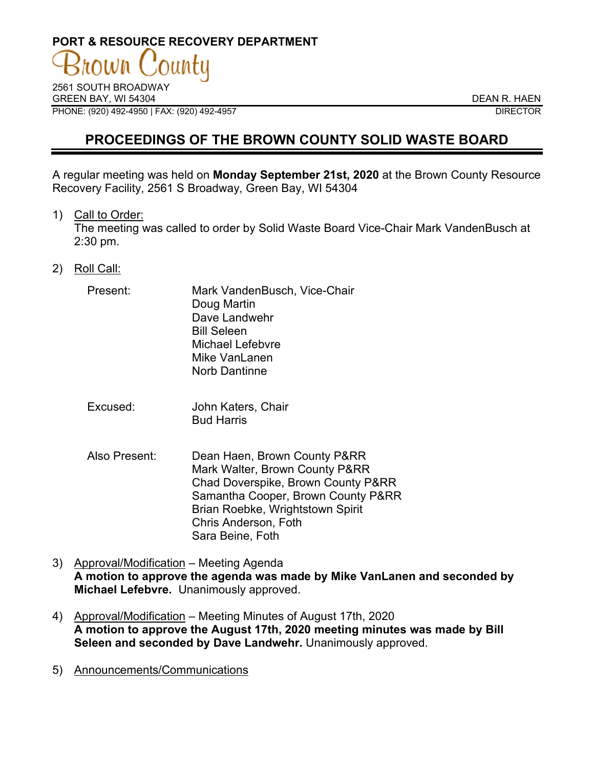# **PORT & RESOURCE RECOVERY DEPARTMENT**

2561 SOUTH BROADWAY GREEN BAY. WI 54304 DEAN R. HAEN PHONE: (920) 492-4950 | FAX: (920) 492-4957 DIRECTOR

## **PROCEEDINGS OF THE BROWN COUNTY SOLID WASTE BOARD**

A regular meeting was held on **Monday September 21st, 2020** at the Brown County Resource Recovery Facility, 2561 S Broadway, Green Bay, WI 54304

1) Call to Order:

The meeting was called to order by Solid Waste Board Vice-Chair Mark VandenBusch at 2:30 pm.

- 2) Roll Call:
	- Present: Mark VandenBusch, Vice-Chair Doug Martin Dave Landwehr Bill Seleen Michael Lefebvre Mike VanLanen Norb Dantinne
	- Excused: John Katers, Chair Bud Harris
	- Also Present: Dean Haen, Brown County P&RR Mark Walter, Brown County P&RR Chad Doverspike, Brown County P&RR Samantha Cooper, Brown County P&RR Brian Roebke, Wrightstown Spirit Chris Anderson, Foth Sara Beine, Foth
- 3) Approval/Modification Meeting Agenda **A motion to approve the agenda was made by Mike VanLanen and seconded by Michael Lefebvre.** Unanimously approved.
- 4) Approval/Modification Meeting Minutes of August 17th, 2020 **A motion to approve the August 17th, 2020 meeting minutes was made by Bill Seleen and seconded by Dave Landwehr.** Unanimously approved.
- 5) Announcements/Communications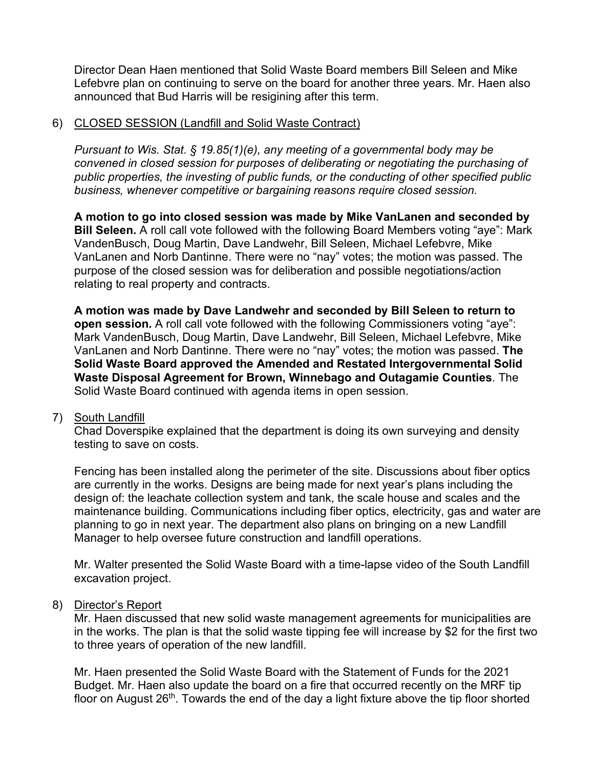Director Dean Haen mentioned that Solid Waste Board members Bill Seleen and Mike Lefebvre plan on continuing to serve on the board for another three years. Mr. Haen also announced that Bud Harris will be resigining after this term.

#### 6) CLOSED SESSION (Landfill and Solid Waste Contract)

*Pursuant to Wis. Stat. § 19.85(1)(e), any meeting of a governmental body may be convened in closed session for purposes of deliberating or negotiating the purchasing of public properties, the investing of public funds, or the conducting of other specified public business, whenever competitive or bargaining reasons require closed session.*

**A motion to go into closed session was made by Mike VanLanen and seconded by Bill Seleen.** A roll call vote followed with the following Board Members voting "aye": Mark VandenBusch, Doug Martin, Dave Landwehr, Bill Seleen, Michael Lefebvre, Mike VanLanen and Norb Dantinne. There were no "nay" votes; the motion was passed. The purpose of the closed session was for deliberation and possible negotiations/action relating to real property and contracts.

**A motion was made by Dave Landwehr and seconded by Bill Seleen to return to open session.** A roll call vote followed with the following Commissioners voting "aye": Mark VandenBusch, Doug Martin, Dave Landwehr, Bill Seleen, Michael Lefebvre, Mike VanLanen and Norb Dantinne. There were no "nay" votes; the motion was passed. **The Solid Waste Board approved the Amended and Restated Intergovernmental Solid Waste Disposal Agreement for Brown, Winnebago and Outagamie Counties**. The Solid Waste Board continued with agenda items in open session.

# 7) South Landfill

Chad Doverspike explained that the department is doing its own surveying and density testing to save on costs.

Fencing has been installed along the perimeter of the site. Discussions about fiber optics are currently in the works. Designs are being made for next year's plans including the design of: the leachate collection system and tank, the scale house and scales and the maintenance building. Communications including fiber optics, electricity, gas and water are planning to go in next year. The department also plans on bringing on a new Landfill Manager to help oversee future construction and landfill operations.

Mr. Walter presented the Solid Waste Board with a time-lapse video of the South Landfill excavation project.

#### 8) Director's Report

Mr. Haen discussed that new solid waste management agreements for municipalities are in the works. The plan is that the solid waste tipping fee will increase by \$2 for the first two to three years of operation of the new landfill.

Mr. Haen presented the Solid Waste Board with the Statement of Funds for the 2021 Budget. Mr. Haen also update the board on a fire that occurred recently on the MRF tip floor on August  $26<sup>th</sup>$ . Towards the end of the day a light fixture above the tip floor shorted